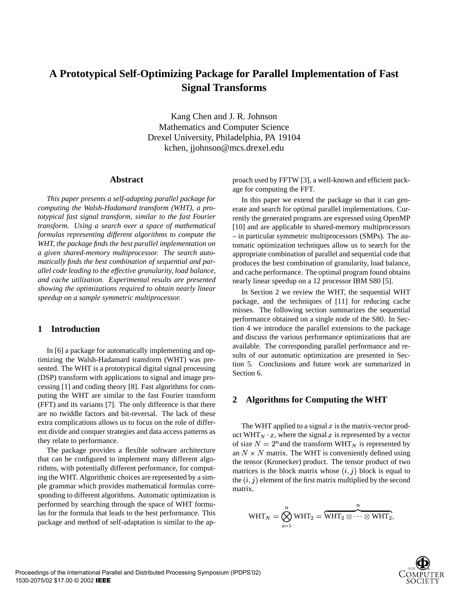# **A Prototypical Self-Optimizing Package for Parallel Implementation of Fast Signal Transforms**

Kang Chen and J. R. Johnson Mathematics and Computer Science Drexel University, Philadelphia, PA 19104 kchen, jjohnson@mcs.drexel.edu

## **Abstract**

*This paper presents a self-adapting parallel package for computing the Walsh-Hadamard transform (WHT), a prototypical fast signal transform, similar to the fast Fourier transform. Using a search over a space of mathematical formulas representing different algorithms to compute the WHT, the package finds the best parallel implementation on a given shared-memory multiprocessor. The search automatically finds the best combination of sequential and parallel code leading to the effective granularity, load balance, and cache utilization. Experimental results are presented showing the optimizations required to obtain nearly linear speedup on a sample symmetric multiprocessor.*

### **1 Introduction**

In [6] a package for automatically implementing and optimizing the Walsh-Hadamard transform (WHT) was presented. The WHT is a prototypical digital signal processing (DSP) transform with applications to signal and image processing [1] and coding theory [8]. Fast algorithms for computing the WHT are similar to the fast Fourier transform (FFT) and its variants [7]. The only difference is that there are no twiddle factors and bit-reversal. The lack of these extra complications allows us to focus on the role of different divide and conquer strategies and data access patterns as they relate to performance.

The package provides a flexible software architecture that can be configured to implement many different algorithms, with potentially different performance, for computing the WHT. Algorithmic choices are represented by a simple grammar which provides mathematical formulas corresponding to different algorithms. Automatic optimization is performed by searching through the space of WHT formulas for the formula that leads to the best performance. This package and method of self-adaptation is similar to the approach used by FFTW [3], a well-known and efficient package for computing the FFT.

In this paper we extend the package so that it can generate and search for optimal parallel implementations. Currently the generated programs are expressed using OpenMP [10] and are applicable to shared-memory multiprocessors – in particular symmetric multiprocessors (SMPs). The automatic optimization techniques allow us to search for the appropriate combination of parallel and sequential code that produces the best combination of granularity, load balance, and cache performance. The optimal program found obtains nearly linear speedup on a 12 processor IBM S80 [5].

In Section 2 we review the WHT, the sequential WHT package, and the techniques of [11] for reducing cache misses. The following section summarizes the sequential performance obtained on a single node of the S80. In Section 4 we introduce the parallel extensions to the package and discuss the various performance optimizations that are available. The corresponding parallel performance and results of our automatic optimization are presented in Section 5. Conclusions and future work are summarized in Section 6.

## **2 Algorithms for Computing the WHT**

The WHT applied to a signal  $x$  is the matrix-vector product WHT<sub>N</sub>  $\cdot x$ , where the signal x is represented by a vector of size  $N = 2^n$  and the transform WHT<sub>N</sub> is represented by an  $N \times N$  matrix. The WHT is conveniently defined using the tensor (Kronecker) product. The tensor product of two matrices is the block matrix whose  $(i, j)$  block is equal to the  $(i, j)$  element of the first matrix multiplied by the second matrix.

$$
WHT_N = \bigotimes_{i=1}^n WHT_2 = \overbrace{WHT_2 \otimes \cdots \otimes WHT_2}^n,
$$

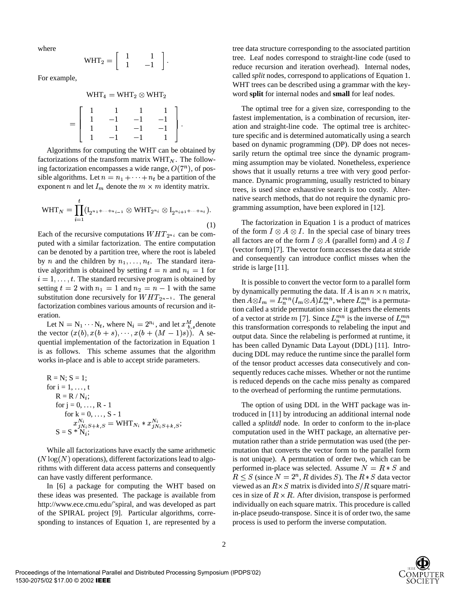where

$$
WHT_2=\left[\begin{array}{cc}1 & 1 \\ 1 & -1\end{array}\right].
$$

For example,

$$
\mathrm{WHT}_4 = \mathrm{WHT}_2 \otimes \mathrm{WHT}_2
$$

$$
=\left[\begin{array}{cccc}1 & 1 & 1 & 1 \\1 & -1 & -1 & -1 \\1 & 1 & -1 & -1 \\1 & -1 & -1 & 1\end{array}\right].
$$

Algorithms for computing the WHT can be obtained by factorizations of the transform matrix  $WHT_N$ . The following factorization encompasses a wide range,  $O(7<sup>n</sup>)$ , of possible algorithms. Let  $n = n_1 + \cdots + n_t$  be a partition of the exponent *n* and let  $I_m$  denote the  $m \times m$  identity matrix.

$$
WHT_N = \prod_{i=1}^t (I_{2^{n_1 + \dots + n_{i-1}}} \otimes WHT_{2^{n_i}} \otimes I_{2^{n_i} + 1 + \dots + n_t}).
$$
\n(1)

Each of the recursive computations  $WHT_{2^n i}$  can be computed with a similar factorization. The entire computation can be denoted by a partition tree, where the root is labeled by *n* and the children by  $n_1, \ldots, n_t$ . The standard iterative algorithm is obtained by setting  $t = n$  and  $n_i = 1$  for sum  $i = 1, \ldots, t$ . The standard recursive program is obtained by setting  $t = 2$  with  $n_1 = 1$  and  $n_2 = n - 1$  with the same substitution done recursively for  $WHT_{2^{n-1}}$ . The general factorization combines various amounts of recursion and iteration.

tion.<br>Let  $N = N_1 \cdots N_t$ , where  $N_i = 2^{n_i}$ , and let  $x_{h_s}^M$  denote the vector  $(x(b), x(b + s), \dots, x(b + (M - 1)s))$ . A sequential implementation of the factorization in Equation 1 is as follows. This scheme assumes that the algorithm works in-place and is able to accept stride parameters.

R = N; S = 1;  
\nfor i = 1, ..., t  
\nR = R / N<sub>i</sub>;  
\nfor j = 0, ..., R - 1  
\nfor k = 0, ..., S - 1  
\n
$$
x_{jN_i S+k, S}^{N_i} = \text{WHT}_{N_i} * x_{jN_i S+k, S}^{N_i};
$$
  
\nS = S \* N<sub>i</sub>;

While all factorizations have exactly the same arithmetic  $(N \log(N)$  operations), different factorizations lead to algorithms with different data access patterns and consequently can have vastly different performance.

In [6] a package for computing the WHT based on these ideas was presented. The package is available from http://www.ece.cmu.edu/˜spiral, and was developed as part of the SPIRAL project [9]. Particular algorithms, corresponding to instances of Equation 1, are represented by a tree data structure corresponding to the associated partition tree. Leaf nodes correspond to straight-line code (used to reduce recursion and iteration overhead). Internal nodes, called *split* nodes, correspond to applications of Equation 1. WHT trees can be described using a grammar with the keyword **split** for internal nodes and **small** for leaf nodes.

The optimal tree for a given size, corresponding to the fastest implementation, is a combination of recursion, iteration and straight-line code. The optimal tree is architecture specific and is determined automatically using a search based on dynamic programming (DP). DP does not necessarily return the optimal tree since the dynamic programming assumption may be violated. Nonetheless, experience shows that it usually returns a tree with very good performance. Dynamic programming, usually restricted to binary trees, is used since exhaustive search is too costly. Alternative search methods, that do not require the dynamic programming assumption, have been explored in [12].

The factorization in Equation 1 is a product of matrices of the form  $I \otimes A \otimes I$ . In the special case of binary trees all factors are of the form  $I \otimes A$  (parallel form) and  $A \otimes I$ (vector form) [7]. The vector form accesses the data at stride and consequently can introduce conflict misses when the stride is large [11].

It is possible to convert the vector form to a parallel form by dynamically permuting the data. If A is an  $n \times n$  matrix, then  $A \otimes I_m = L_n^{mn}(I_m \otimes A) L_m^{mn}$ , where  $L_m^{mn}$  is a permutation called a stride permutation since it gathers the elements of a vector at stride m [7]. Since  $L_n^{mn}$  is the inverse of  $L_m^{mn}$ this transformation corresponds to relabeling the input and output data. Since the relabeling is performed at runtime, it has been called Dynamic Data Layout (DDL) [11]. Introducing DDL may reduce the runtime since the parallel form of the tensor product accesses data consecutively and consequently reduces cache misses. Whether or not the runtime is reduced depends on the cache miss penalty as compared to the overhead of performing the runtime permutations.

The option of using DDL in the WHT package was introduced in [11] by introducing an additional internal node called a *splitddl* node. In order to conform to the in-place computation used in the WHT package, an alternative permutation rather than a stride permutation was used (the permutation that converts the vector form to the parallel form is not unique). A permutation of order two, which can be performed in-place was selected. Assume  $N = R * S$  and  $R \leq S$  (since  $N = 2<sup>n</sup>$ , R divides S). The  $R * S$  data vector viewed as an  $R \times S$  matrix is divided into  $S/R$  square matrices in size of  $R \times R$ . After division, transpose is performed individually on each square matrix. This procedure is called in-place pseudo-transpose. Since it is of order two, the same process is used to perform the inverse computation.

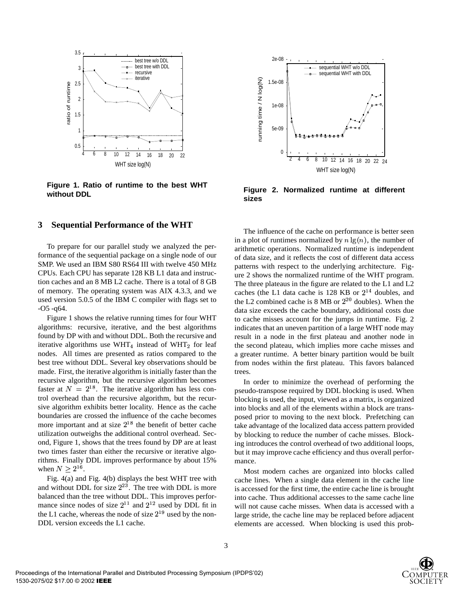

**Figure 1. Ratio of runtime to the best WHT without DDL**

#### **3 Sequential Performance of the WHT**

To prepare for our parallel study we analyzed the performance of the sequential package on a single node of our SMP. We used an IBM S80 RS64 III with twelve 450 MHz CPUs. Each CPU has separate 128 KB L1 data and instruction caches and an 8 MB L2 cache. There is a total of 8 GB of memory. The operating system was AIX 4.3.3, and we used version 5.0.5 of the IBM C compiler with flags set to -O5 -q64.

Figure 1 shows the relative running times for four WHT algorithms: recursive, iterative, and the best algorithms found by DP with and without DDL. Both the recursive and iterative algorithms use WHT<sub>4</sub> instead of WHT<sub>2</sub> for leaf nodes. All times are presented as ratios compared to the best tree without DDL. Several key observations should be made. First, the iterative algorithm is initially faster than the recursive algorithm, but the recursive algorithm becomes faster at  $N = 2^{18}$ . The iterative algorithm has less control overhead than the recursive algorithm, but the recursive algorithm exhibits better locality. Hence as the cache boundaries are crossed the influence of the cache becomes more important and at size  $2^{18}$  the benefit of better cache utilization outweighs the additional control overhead. Second, Figure 1, shows that the trees found by DP are at least two times faster than either the recursive or iterative algorithms. Finally DDL improves performance by about 15% when  $N \geq 2^{16}$ .

Fig. 4(a) and Fig. 4(b) displays the best WHT tree with and without DDL for size  $2^{23}$ . The tree with DDL is more balanced than the tree without DDL. This improves performance since nodes of size  $2^{11}$  and  $2^{12}$  used by DDL fit in the L1 cache, whereas the node of size  $2^{19}$  used by the non-DDL version exceeds the L1 cache.



**Figure 2. Normalized runtime at different sizes**

The influence of the cache on performance is better seen in a plot of runtimes normalized by  $n \lg(n)$ , the number of arithmetic operations. Normalized runtime is independent of data size, and it reflects the cost of different data access patterns with respect to the underlying architecture. Figure 2 shows the normalized runtime of the WHT program. The three plateaus in the figure are related to the L1 and L2 caches (the L1 data cache is  $128$  KB or  $2^{14}$  doubles, and the L2 combined cache is  $8 \text{ MB}$  or  $2^{20}$  doubles). When the data size exceeds the cache boundary, additional costs due to cache misses account for the jumps in runtime. Fig. 2 indicates that an uneven partition of a large WHT node may result in a node in the first plateau and another node in the second plateau, which implies more cache misses and a greater runtime. A better binary partition would be built from nodes within the first plateau. This favors balanced trees.

In order to minimize the overhead of performing the pseudo-transpose required by DDL blocking is used. When blocking is used, the input, viewed as a matrix, is organized into blocks and all of the elements within a block are transposed prior to moving to the next block. Prefetching can take advantage of the localized data access pattern provided by blocking to reduce the number of cache misses. Blocking introduces the control overhead of two additional loops, but it may improve cache efficiency and thus overall performance.

Most modern caches are organized into blocks called cache lines. When a single data element in the cache line is accessed for the first time, the entire cache line is brought into cache. Thus additional accesses to the same cache line will not cause cache misses. When data is accessed with a large stride, the cache line may be replaced before adjacent elements are accessed. When blocking is used this prob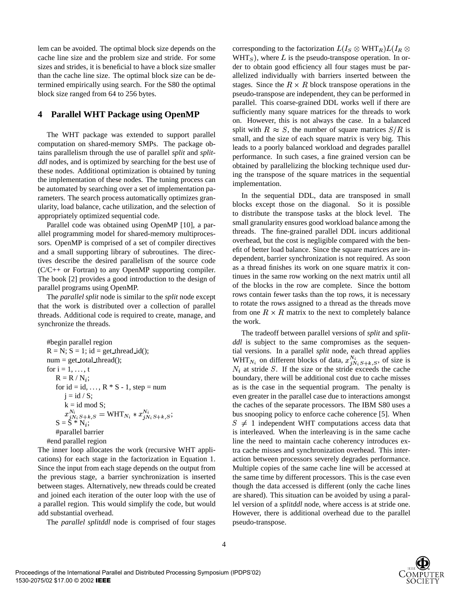lem can be avoided. The optimal block size depends on the cache line size and the problem size and stride. For some sizes and strides, it is beneficial to have a block size smaller than the cache line size. The optimal block size can be determined empirically using search. For the S80 the optimal block size ranged from 64 to 256 bytes.

## **4 Parallel WHT Package using OpenMP**

The WHT package was extended to support parallel computation on shared-memory SMPs. The package obtains parallelism through the use of parallel *split* and *splitddl* nodes, and is optimized by searching for the best use of these nodes. Additional optimization is obtained by tuning the implementation of these nodes. The tuning process can be automated by searching over a set of implementation parameters. The search process automatically optimizes granularity, load balance, cache utilization, and the selection of appropriately optimized sequential code.

Parallel code was obtained using OpenMP [10], a parallel programming model for shared-memory multiprocessors. OpenMP is comprised of a set of compiler directives and a small supporting library of subroutines. The directives describe the desired parallelism of the source code (C/C++ or Fortran) to any OpenMP supporting compiler. The book [2] provides a good introduction to the design of parallel programs using OpenMP.

The *parallel split* node is similar to the *split* node except that the work is distributed over a collection of parallel threads. Additional code is required to create, manage, and synchronize the threads.

#begin parallel region  
\nR = N; S = 1; id = get-thread\_id();  
\nnum = gettotal-thread();  
\nfor i = 1, ..., t  
\nR = R / N<sub>i</sub>;  
\nfor id = id, ..., R \* S - 1, step = num  
\n
$$
j = id / S;
$$
  
\n $k = id mod S;$   
\n $x_{jN_i S+k, S}^{N_i} = WHT_{N_i} * x_{jN_i S+k, S}^{N_i};$   
\nS = S \* N<sub>i</sub>;  
\n#parallel barrier  
\n#end parallel region

The inner loop allocates the work (recursive WHT applications) for each stage in the factorization in Equation 1. Since the input from each stage depends on the output from the previous stage, a barrier synchronization is inserted between stages. Alternatively, new threads could be created and joined each iteration of the outer loop with the use of a parallel region. This would simplify the code, but would add substantial overhead.

The *parallel splitddl* node is comprised of four stages

corresponding to the factorization  $L(I_S \otimes \text{WHT}_R) L(I_R \otimes$  $WHT<sub>S</sub>$ , where L is the pseudo-transpose operation. In order to obtain good efficiency all four stages must be parallelized individually with barriers inserted between the stages. Since the  $R \times R$  block transpose operations in the pseudo-transpose are independent, they can be performed in parallel. This coarse-grained DDL works well if there are sufficiently many square matrices for the threads to work on. However, this is not always the case. In a balanced split with  $R \approx S$ , the number of square matrices  $S/R$  is small, and the size of each square matrix is very big. This leads to a poorly balanced workload and degrades parallel performance. In such cases, a fine grained version can be obtained by parallelizing the blocking technique used during the transpose of the square matrices in the sequential implementation.

In the sequential DDL, data are transposed in small blocks except those on the diagonal. So it is possible to distribute the transpose tasks at the block level. The small granularity ensures good workload balance among the threads. The fine-grained parallel DDL incurs additional overhead, but the cost is negligible compared with the benefit of better load balance. Since the square matrices are independent, barrier synchronization is not required. As soon as a thread finishes its work on one square matrix it continues in the same row working on the next matrix until all of the blocks in the row are complete. Since the bottom rows contain fewer tasks than the top rows, it is necessary to rotate the rows assigned to a thread as the threads move from one  $R \times R$  matrix to the next to completely balance the work.

The tradeoff between parallel versions of *split* and *splitddl* is subject to the same compromises as the sequential versions. In a parallel *split* node, each thread applies WHT<sub>N<sub>i</sub></sub> on different blocks of data,  $x_{jN_iS+k,S}^{N_i}$ , of size is at stride  $S$ . If the size or the stride exceeds the cache boundary, there will be additional cost due to cache misses as is the case in the sequential program. The penalty is even greater in the parallel case due to interactions amongst the caches of the separate processors. The IBM S80 uses a bus snooping policy to enforce cache coherence [5]. When  $S \neq 1$  independent WHT computations access data that is interleaved. When the interleaving is in the same cache line the need to maintain cache coherency introduces extra cache misses and synchronization overhead. This interaction between processors severely degrades performance. Multiple copies of the same cache line will be accessed at the same time by different processors. This is the case even though the data accessed is different (only the cache lines are shared). This situation can be avoided by using a parallel version of a *splitddl* node, where access is at stride one. However, there is additional overhead due to the parallel pseudo-transpose.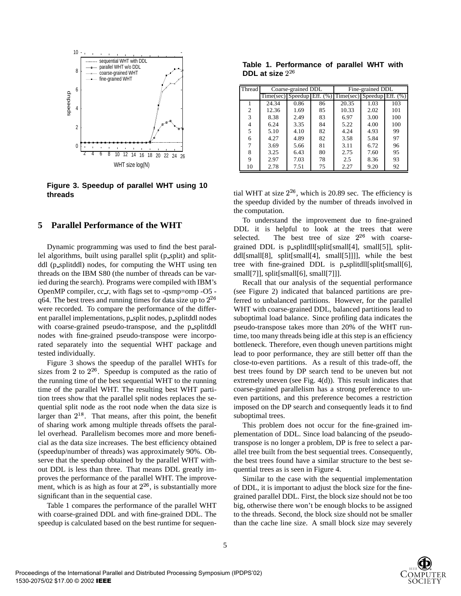

**Figure 3. Speedup of parallel WHT using 10 threads**

## **5 Parallel Performance of the WHT**

Dynamic programming was used to find the best parallel algorithms, built using parallel split (p\_split) and splitddl (p splitddl) nodes, for computing the WHT using ten threads on the IBM S80 (the number of threads can be varied during the search). Programs were compiled with IBM's OpenMP compiler, cc r, with flags set to -qsmp=omp -O5 q64. The best trees and running times for data size up to  $2^{26}$ were recorded. To compare the performance of the different parallel implementations, p\_split nodes, p\_splitddl nodes with coarse-grained pseudo-transpose, and the p splitddl nodes with fine-grained pseudo-transpose were incorporated separately into the sequential WHT package and tested individually.

Figure 3 shows the speedup of the parallel WHTs for sizes from 2 to  $2^{26}$ . Speedup is computed as the ratio of the running time of the best sequential WHT to the running time of the parallel WHT. The resulting best WHT partition trees show that the parallel split nodes replaces the sequential split node as the root node when the data size is larger than  $2^{18}$ . That means, after this point, the benefit of sharing work among multiple threads offsets the parallel overhead. Parallelism becomes more and more beneficial as the data size increases. The best efficiency obtained (speedup/number of threads) was approximately 90%. Observe that the speedup obtained by the parallel WHT without DDL is less than three. That means DDL greatly improves the performance of the parallel WHT. The improvement, which is as high as four at  $2^{26}$ , is substantially more significant than in the sequential case.

Table 1 compares the performance of the parallel WHT with coarse-grained DDL and with fine-grained DDL. The speedup is calculated based on the best runtime for sequen-

**Table 1. Performance of parallel WHT with DDL at size**

| Thread         | Coarse-grained DDL            |      |    | Fine-grained DDL                |      |     |
|----------------|-------------------------------|------|----|---------------------------------|------|-----|
|                | Time(sec) Speedup Eff. $(\%)$ |      |    | $Time(sec)$ Speedup Eff. $(\%)$ |      |     |
|                | 24.34                         | 0.86 | 86 | 20.35                           | 1.03 | 103 |
| $\mathfrak{D}$ | 12.36                         | 1.69 | 85 | 10.33                           | 2.02 | 101 |
| 3              | 8.38                          | 2.49 | 83 | 6.97                            | 3.00 | 100 |
| 4              | 6.24                          | 3.35 | 84 | 5.22                            | 4.00 | 100 |
| 5              | 5.10                          | 4.10 | 82 | 4.24                            | 4.93 | 99  |
| 6              | 4.27                          | 4.89 | 82 | 3.58                            | 5.84 | 97  |
|                | 3.69                          | 5.66 | 81 | 3.11                            | 6.72 | 96  |
| 8              | 3.25                          | 6.43 | 80 | 2.75                            | 7.60 | 95  |
| 9              | 2.97                          | 7.03 | 78 | 2.5                             | 8.36 | 93  |
| 10             | 2.78                          | 7.51 | 75 | 2.27                            | 9.20 | 92  |

tial WHT at size  $2^{26}$ , which is 20.89 sec. The efficiency is the speedup divided by the number of threads involved in the computation.

To understand the improvement due to fine-grained DDL it is helpful to look at the trees that were selected. The best tree of size  $2^{26}$  with coarsegrained DDL is p splitdll[split[small[4], small[5]], splitddl[small[8], split[small[4], small[5]]]], while the best tree with fine-grained DDL is p splitdll[split[small[6], small[7]], split[small[6], small[7]]].

Recall that our analysis of the sequential performance (see Figure 2) indicated that balanced partitions are preferred to unbalanced partitions. However, for the parallel WHT with coarse-grained DDL, balanced partitions lead to suboptimal load balance. Since profiling data indicates the pseudo-transpose takes more than 20% of the WHT runtime, too many threads being idle at this step is an efficiency bottleneck. Therefore, even though uneven partitions might lead to poor performance, they are still better off than the close-to-even partitions. As a result of this trade-off, the best trees found by DP search tend to be uneven but not extremely uneven (see Fig. 4(d)). This result indicates that coarse-grained parallelism has a strong preference to uneven partitions, and this preference becomes a restriction imposed on the DP search and consequently leads it to find suboptimal trees.

This problem does not occur for the fine-grained implementation of DDL. Since load balancing of the pseudotranspose is no longer a problem, DP is free to select a parallel tree built from the best sequential trees. Consequently, the best trees found have a similar structure to the best sequential trees as is seen in Figure 4.

Similar to the case with the sequential implementation of DDL, it is important to adjust the block size for the finegrained parallel DDL. First, the block size should not be too big, otherwise there won't be enough blocks to be assigned to the threads. Second, the block size should not be smaller than the cache line size. A small block size may severely